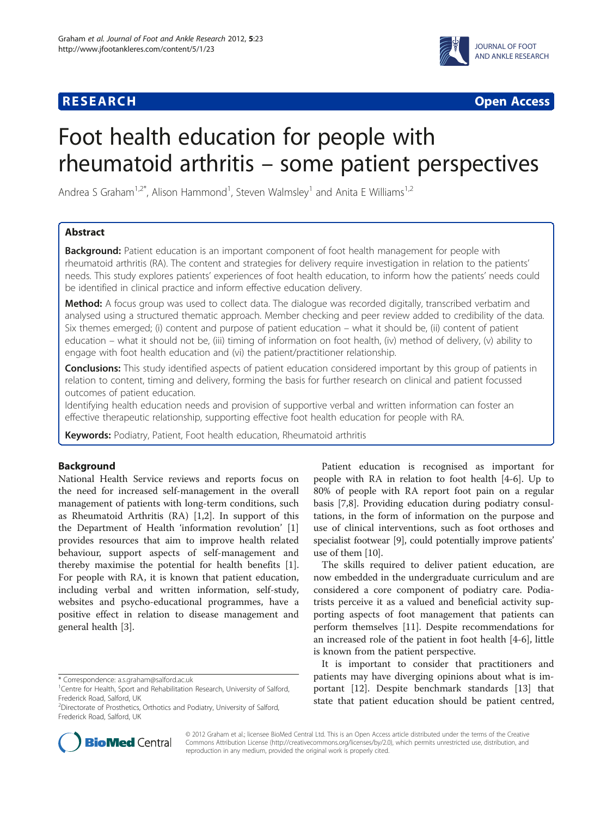# **RESEARCH CHEAR CHEAR CHEAR CHEAR CHEAR CHEAR CHEAR CHEAR CHEAR CHEAR CHEAR CHEAR CHEAR CHEAR CHEAR CHEAR CHEAR**



# Foot health education for people with rheumatoid arthritis – some patient perspectives

Andrea S Graham<sup>1,2\*</sup>, Alison Hammond<sup>1</sup>, Steven Walmsley<sup>1</sup> and Anita E Williams<sup>1,2</sup>

## Abstract

**Background:** Patient education is an important component of foot health management for people with rheumatoid arthritis (RA). The content and strategies for delivery require investigation in relation to the patients' needs. This study explores patients' experiences of foot health education, to inform how the patients' needs could be identified in clinical practice and inform effective education delivery.

Method: A focus group was used to collect data. The dialogue was recorded digitally, transcribed verbatim and analysed using a structured thematic approach. Member checking and peer review added to credibility of the data. Six themes emerged; (i) content and purpose of patient education – what it should be, (ii) content of patient education – what it should not be, (iii) timing of information on foot health, (iv) method of delivery, (v) ability to engage with foot health education and (vi) the patient/practitioner relationship.

Conclusions: This study identified aspects of patient education considered important by this group of patients in relation to content, timing and delivery, forming the basis for further research on clinical and patient focussed outcomes of patient education.

Identifying health education needs and provision of supportive verbal and written information can foster an effective therapeutic relationship, supporting effective foot health education for people with RA.

Keywords: Podiatry, Patient, Foot health education, Rheumatoid arthritis

## Background

National Health Service reviews and reports focus on the need for increased self-management in the overall management of patients with long-term conditions, such as Rheumatoid Arthritis (RA) [\[1,2](#page-6-0)]. In support of this the Department of Health 'information revolution' [\[1](#page-6-0)] provides resources that aim to improve health related behaviour, support aspects of self-management and thereby maximise the potential for health benefits [\[1](#page-6-0)]. For people with RA, it is known that patient education, including verbal and written information, self-study, websites and psycho-educational programmes, have a positive effect in relation to disease management and general health [\[3](#page-6-0)].

Patient education is recognised as important for people with RA in relation to foot health [\[4](#page-6-0)-[6\]](#page-6-0). Up to 80% of people with RA report foot pain on a regular basis [[7](#page-6-0),[8\]](#page-6-0). Providing education during podiatry consultations, in the form of information on the purpose and use of clinical interventions, such as foot orthoses and specialist footwear [\[9](#page-7-0)], could potentially improve patients' use of them [\[10](#page-7-0)].

The skills required to deliver patient education, are now embedded in the undergraduate curriculum and are considered a core component of podiatry care. Podiatrists perceive it as a valued and beneficial activity supporting aspects of foot management that patients can perform themselves [\[11](#page-7-0)]. Despite recommendations for an increased role of the patient in foot health [\[4](#page-6-0)-[6\]](#page-6-0), little is known from the patient perspective.

It is important to consider that practitioners and patients may have diverging opinions about what is important [\[12](#page-7-0)]. Despite benchmark standards [\[13](#page-7-0)] that state that patient education should be patient centred,



© 2012 Graham et al.; licensee BioMed Central Ltd. This is an Open Access article distributed under the terms of the Creative Commons Attribution License [\(http://creativecommons.org/licenses/by/2.0\)](http://creativecommons.org/licenses/by/2.0), which permits unrestricted use, distribution, and reproduction in any medium, provided the original work is properly cited.

<sup>\*</sup> Correspondence: [a.s.graham@salford.ac.uk](mailto:a.s.graham@salford.ac.uk) <sup>1</sup>

<sup>&</sup>lt;sup>1</sup>Centre for Health, Sport and Rehabilitation Research, University of Salford, Frederick Road, Salford, UK

<sup>&</sup>lt;sup>2</sup>Directorate of Prosthetics, Orthotics and Podiatry, University of Salford, Frederick Road, Salford, UK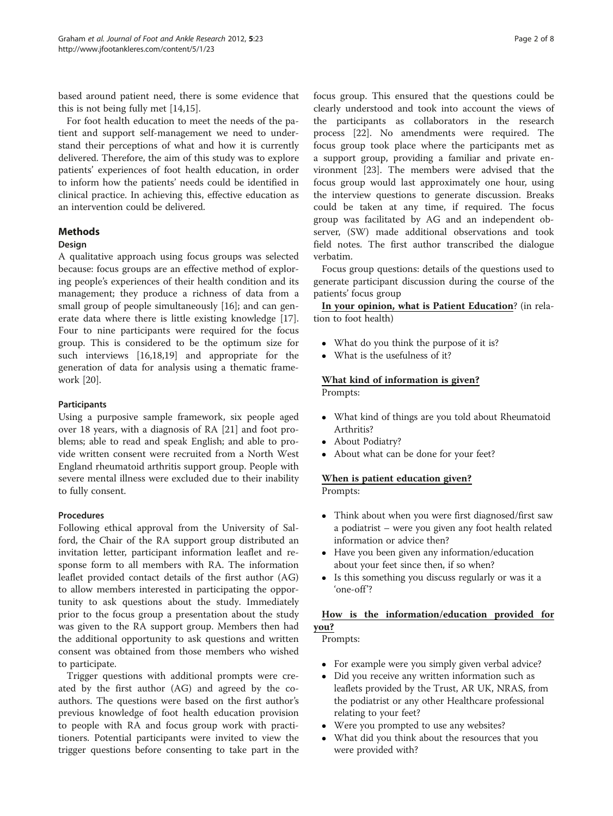based around patient need, there is some evidence that this is not being fully met [[14,15\]](#page-7-0).

For foot health education to meet the needs of the patient and support self-management we need to understand their perceptions of what and how it is currently delivered. Therefore, the aim of this study was to explore patients' experiences of foot health education, in order to inform how the patients' needs could be identified in clinical practice. In achieving this, effective education as an intervention could be delivered.

## Methods

## Design

A qualitative approach using focus groups was selected because: focus groups are an effective method of exploring people's experiences of their health condition and its management; they produce a richness of data from a small group of people simultaneously [[16\]](#page-7-0); and can generate data where there is little existing knowledge [\[17](#page-7-0)]. Four to nine participants were required for the focus group. This is considered to be the optimum size for such interviews [[16,18,19\]](#page-7-0) and appropriate for the generation of data for analysis using a thematic framework [\[20](#page-7-0)].

## Participants

Using a purposive sample framework, six people aged over 18 years, with a diagnosis of RA [[21](#page-7-0)] and foot problems; able to read and speak English; and able to provide written consent were recruited from a North West England rheumatoid arthritis support group. People with severe mental illness were excluded due to their inability to fully consent.

#### Procedures

Following ethical approval from the University of Salford, the Chair of the RA support group distributed an invitation letter, participant information leaflet and response form to all members with RA. The information leaflet provided contact details of the first author (AG) to allow members interested in participating the opportunity to ask questions about the study. Immediately prior to the focus group a presentation about the study was given to the RA support group. Members then had the additional opportunity to ask questions and written consent was obtained from those members who wished to participate.

Trigger questions with additional prompts were created by the first author (AG) and agreed by the coauthors. The questions were based on the first author's previous knowledge of foot health education provision to people with RA and focus group work with practitioners. Potential participants were invited to view the trigger questions before consenting to take part in the focus group. This ensured that the questions could be clearly understood and took into account the views of the participants as collaborators in the research process [\[22](#page-7-0)]. No amendments were required. The focus group took place where the participants met as a support group, providing a familiar and private environment [\[23](#page-7-0)]. The members were advised that the focus group would last approximately one hour, using the interview questions to generate discussion. Breaks could be taken at any time, if required. The focus group was facilitated by AG and an independent observer, (SW) made additional observations and took field notes. The first author transcribed the dialogue verbatim.

Focus group questions: details of the questions used to generate participant discussion during the course of the patients' focus group

In your opinion, what is Patient Education? (in relation to foot health)

- What do you think the purpose of it is?
- What is the usefulness of it?

## What kind of information is given?

Prompts:

- What kind of things are you told about Rheumatoid Arthritis?
- About Podiatry?
- About what can be done for your feet?

## When is patient education given?

Prompts:

- Think about when you were first diagnosed/first saw a podiatrist – were you given any foot health related information or advice then?
- Have you been given any information/education about your feet since then, if so when?
- Is this something you discuss regularly or was it a 'one-off'?

## How is the information/education provided for you?

Prompts:

- For example were you simply given verbal advice?
- Did you receive any written information such as leaflets provided by the Trust, AR UK, NRAS, from the podiatrist or any other Healthcare professional relating to your feet?
- Were you prompted to use any websites?
- What did you think about the resources that you were provided with?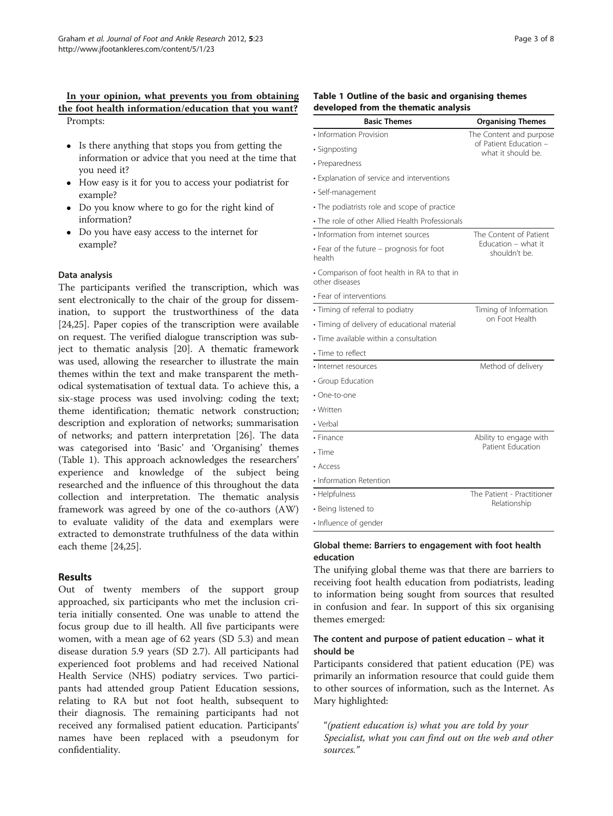## In your opinion, what prevents you from obtaining the foot health information/education that you want?

Prompts:

- Is there anything that stops you from getting the information or advice that you need at the time that you need it?
- How easy is it for you to access your podiatrist for example?
- Do you know where to go for the right kind of information?
- Do you have easy access to the internet for example?

## Data analysis

The participants verified the transcription, which was sent electronically to the chair of the group for dissemination, to support the trustworthiness of the data [[24,25\]](#page-7-0). Paper copies of the transcription were available on request. The verified dialogue transcription was subject to thematic analysis [[20\]](#page-7-0). A thematic framework was used, allowing the researcher to illustrate the main themes within the text and make transparent the methodical systematisation of textual data. To achieve this, a six-stage process was used involving: coding the text; theme identification; thematic network construction; description and exploration of networks; summarisation of networks; and pattern interpretation [\[26](#page-7-0)]. The data was categorised into 'Basic' and 'Organising' themes (Table 1). This approach acknowledges the researchers' experience and knowledge of the subject being researched and the influence of this throughout the data collection and interpretation. The thematic analysis framework was agreed by one of the co-authors (AW) to evaluate validity of the data and exemplars were extracted to demonstrate truthfulness of the data within each theme [\[24,25](#page-7-0)].

## Results

Out of twenty members of the support group approached, six participants who met the inclusion criteria initially consented. One was unable to attend the focus group due to ill health. All five participants were women, with a mean age of 62 years (SD 5.3) and mean disease duration 5.9 years (SD 2.7). All participants had experienced foot problems and had received National Health Service (NHS) podiatry services. Two participants had attended group Patient Education sessions, relating to RA but not foot health, subsequent to their diagnosis. The remaining participants had not received any formalised patient education. Participants' names have been replaced with a pseudonym for confidentiality.

| <b>Basic Themes</b>                                            | <b>Organising Themes</b>                                                |
|----------------------------------------------------------------|-------------------------------------------------------------------------|
| • Information Provision                                        | The Content and purpose<br>of Patient Education -<br>what it should be. |
| · Signposting                                                  |                                                                         |
| • Preparedness                                                 |                                                                         |
| • Explanation of service and interventions                     |                                                                         |
| • Self-management                                              |                                                                         |
| • The podiatrists role and scope of practice                   |                                                                         |
| • The role of other Allied Health Professionals                |                                                                         |
| · Information from internet sources                            | The Content of Patient<br>Education - what it<br>shouldn't be.          |
| • Fear of the future – prognosis for foot<br>health            |                                                                         |
| • Comparison of foot health in RA to that in<br>other diseases |                                                                         |
| • Fear of interventions                                        |                                                                         |
| · Timing of referral to podiatry                               | Timing of Information<br>on Foot Health                                 |
| · Timing of delivery of educational material                   |                                                                         |
| • Time available within a consultation                         |                                                                         |
| $\cdot$ Time to reflect                                        |                                                                         |
| • Internet resources                                           | Method of delivery                                                      |
| • Group Education                                              |                                                                         |
| • One-to-one                                                   |                                                                         |
| • Written                                                      |                                                                         |
| • Verbal                                                       |                                                                         |
| • Finance                                                      | Ability to engage with<br>Patient Education                             |
| $\cdot$ Time                                                   |                                                                         |
| • Access                                                       |                                                                         |
| • Information Retention                                        |                                                                         |
| • Helpfulness                                                  | The Patient - Practitioner<br>Relationship                              |
| • Being listened to                                            |                                                                         |
| · Influence of gender                                          |                                                                         |

#### Table 1 Outline of the basic and organising themes developed from the thematic analysis

## Global theme: Barriers to engagement with foot health education

The unifying global theme was that there are barriers to receiving foot health education from podiatrists, leading to information being sought from sources that resulted in confusion and fear. In support of this six organising themes emerged:

## The content and purpose of patient education – what it should be

Participants considered that patient education (PE) was primarily an information resource that could guide them to other sources of information, such as the Internet. As Mary highlighted:

"(patient education is) what you are told by your Specialist, what you can find out on the web and other sources."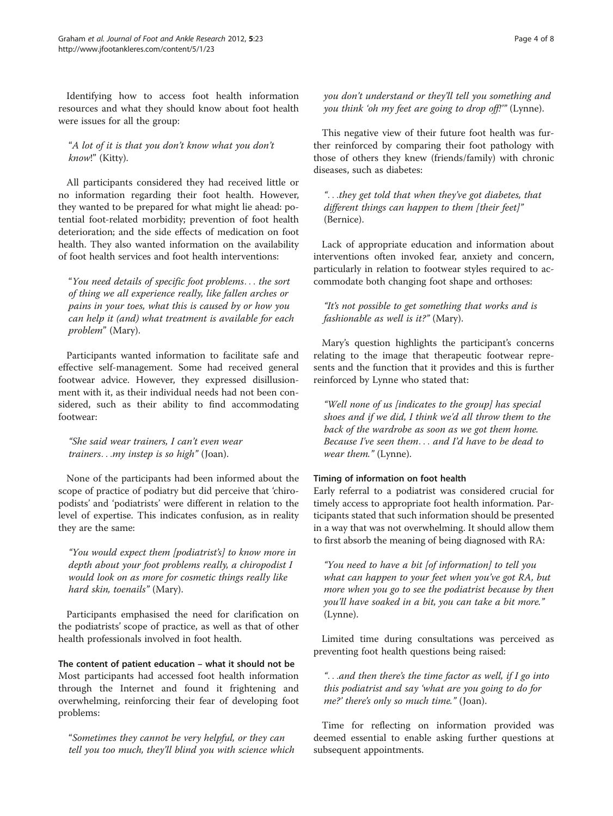Identifying how to access foot health information resources and what they should know about foot health were issues for all the group:

"A lot of it is that you don't know what you don't know!" (Kitty).

All participants considered they had received little or no information regarding their foot health. However, they wanted to be prepared for what might lie ahead: potential foot-related morbidity; prevention of foot health deterioration; and the side effects of medication on foot health. They also wanted information on the availability of foot health services and foot health interventions:

"You need details of specific foot problems... the sort of thing we all experience really, like fallen arches or pains in your toes, what this is caused by or how you can help it (and) what treatment is available for each problem" (Mary).

Participants wanted information to facilitate safe and effective self-management. Some had received general footwear advice. However, they expressed disillusionment with it, as their individual needs had not been considered, such as their ability to find accommodating footwear:

"She said wear trainers, I can't even wear trainers...my instep is so high" (Joan).

None of the participants had been informed about the scope of practice of podiatry but did perceive that 'chiropodists' and 'podiatrists' were different in relation to the level of expertise. This indicates confusion, as in reality they are the same:

"You would expect them [podiatrist's] to know more in depth about your foot problems really, a chiropodist I would look on as more for cosmetic things really like hard skin, toenails" (Mary).

Participants emphasised the need for clarification on the podiatrists' scope of practice, as well as that of other health professionals involved in foot health.

The content of patient education – what it should not be Most participants had accessed foot health information through the Internet and found it frightening and overwhelming, reinforcing their fear of developing foot problems:

"Sometimes they cannot be very helpful, or they can tell you too much, they'll blind you with science which you don't understand or they'll tell you something and you think 'oh my feet are going to drop off!'" (Lynne).

This negative view of their future foot health was further reinforced by comparing their foot pathology with those of others they knew (friends/family) with chronic diseases, such as diabetes:

"...they get told that when they've got diabetes, that different things can happen to them [their feet]" (Bernice).

Lack of appropriate education and information about interventions often invoked fear, anxiety and concern, particularly in relation to footwear styles required to accommodate both changing foot shape and orthoses:

"It's not possible to get something that works and is fashionable as well is it?" (Mary).

Mary's question highlights the participant's concerns relating to the image that therapeutic footwear represents and the function that it provides and this is further reinforced by Lynne who stated that:

"Well none of us [indicates to the group] has special shoes and if we did, I think we'd all throw them to the back of the wardrobe as soon as we got them home. Because I've seen them... and I'd have to be dead to wear them." (Lynne).

## Timing of information on foot health

Early referral to a podiatrist was considered crucial for timely access to appropriate foot health information. Participants stated that such information should be presented in a way that was not overwhelming. It should allow them to first absorb the meaning of being diagnosed with RA:

"You need to have a bit [of information] to tell you what can happen to your feet when you've got RA, but more when you go to see the podiatrist because by then you'll have soaked in a bit, you can take a bit more." (Lynne).

Limited time during consultations was perceived as preventing foot health questions being raised:

"...and then there's the time factor as well, if I go into this podiatrist and say 'what are you going to do for me?' there's only so much time." (Joan).

Time for reflecting on information provided was deemed essential to enable asking further questions at subsequent appointments.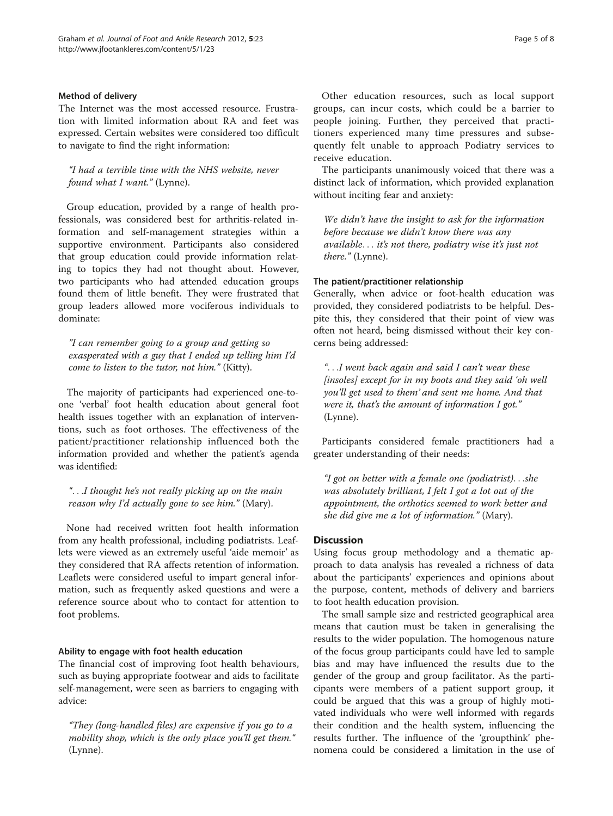#### Method of delivery

The Internet was the most accessed resource. Frustration with limited information about RA and feet was expressed. Certain websites were considered too difficult to navigate to find the right information:

"I had a terrible time with the NHS website, never found what I want." (Lynne).

Group education, provided by a range of health professionals, was considered best for arthritis-related information and self-management strategies within a supportive environment. Participants also considered that group education could provide information relating to topics they had not thought about. However, two participants who had attended education groups found them of little benefit. They were frustrated that group leaders allowed more vociferous individuals to dominate:

"I can remember going to a group and getting so exasperated with a guy that I ended up telling him I'd come to listen to the tutor, not him." (Kitty).

The majority of participants had experienced one-toone 'verbal' foot health education about general foot health issues together with an explanation of interventions, such as foot orthoses. The effectiveness of the patient/practitioner relationship influenced both the information provided and whether the patient's agenda was identified:

"...I thought he's not really picking up on the main reason why I'd actually gone to see him." (Mary).

None had received written foot health information from any health professional, including podiatrists. Leaflets were viewed as an extremely useful 'aide memoir' as they considered that RA affects retention of information. Leaflets were considered useful to impart general information, such as frequently asked questions and were a reference source about who to contact for attention to foot problems.

#### Ability to engage with foot health education

The financial cost of improving foot health behaviours, such as buying appropriate footwear and aids to facilitate self-management, were seen as barriers to engaging with advice:

"They (long-handled files) are expensive if you go to a mobility shop, which is the only place you'll get them." (Lynne).

Other education resources, such as local support groups, can incur costs, which could be a barrier to people joining. Further, they perceived that practitioners experienced many time pressures and subsequently felt unable to approach Podiatry services to receive education.

The participants unanimously voiced that there was a distinct lack of information, which provided explanation without inciting fear and anxiety:

We didn't have the insight to ask for the information before because we didn't know there was any available... it's not there, podiatry wise it's just not there." (Lynne).

#### The patient/practitioner relationship

Generally, when advice or foot-health education was provided, they considered podiatrists to be helpful. Despite this, they considered that their point of view was often not heard, being dismissed without their key concerns being addressed:

"...I went back again and said I can't wear these [insoles] except for in my boots and they said 'oh well you'll get used to them' and sent me home. And that were it, that's the amount of information I got." (Lynne).

Participants considered female practitioners had a greater understanding of their needs:

"I got on better with a female one (podiatrist)...she was absolutely brilliant, I felt I got a lot out of the appointment, the orthotics seemed to work better and she did give me a lot of information." (Mary).

#### Discussion

Using focus group methodology and a thematic approach to data analysis has revealed a richness of data about the participants' experiences and opinions about the purpose, content, methods of delivery and barriers to foot health education provision.

The small sample size and restricted geographical area means that caution must be taken in generalising the results to the wider population. The homogenous nature of the focus group participants could have led to sample bias and may have influenced the results due to the gender of the group and group facilitator. As the participants were members of a patient support group, it could be argued that this was a group of highly motivated individuals who were well informed with regards their condition and the health system, influencing the results further. The influence of the 'groupthink' phenomena could be considered a limitation in the use of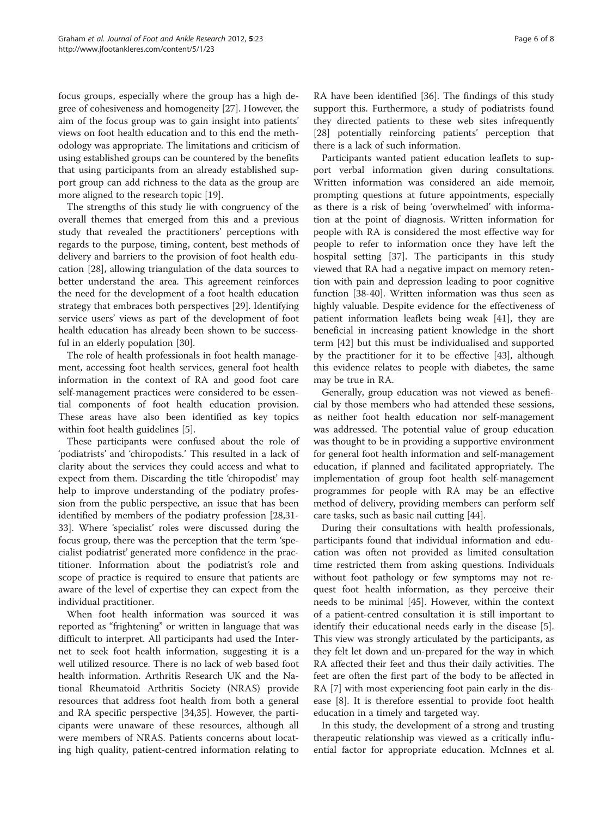focus groups, especially where the group has a high degree of cohesiveness and homogeneity [[27\]](#page-7-0). However, the aim of the focus group was to gain insight into patients' views on foot health education and to this end the methodology was appropriate. The limitations and criticism of using established groups can be countered by the benefits that using participants from an already established support group can add richness to the data as the group are more aligned to the research topic [\[19\]](#page-7-0).

The strengths of this study lie with congruency of the overall themes that emerged from this and a previous study that revealed the practitioners' perceptions with regards to the purpose, timing, content, best methods of delivery and barriers to the provision of foot health education [\[28](#page-7-0)], allowing triangulation of the data sources to better understand the area. This agreement reinforces the need for the development of a foot health education strategy that embraces both perspectives [[29](#page-7-0)]. Identifying service users' views as part of the development of foot health education has already been shown to be successful in an elderly population [\[30](#page-7-0)].

The role of health professionals in foot health management, accessing foot health services, general foot health information in the context of RA and good foot care self-management practices were considered to be essential components of foot health education provision. These areas have also been identified as key topics within foot health guidelines [[5\]](#page-6-0).

These participants were confused about the role of 'podiatrists' and 'chiropodists.' This resulted in a lack of clarity about the services they could access and what to expect from them. Discarding the title 'chiropodist' may help to improve understanding of the podiatry profession from the public perspective, an issue that has been identified by members of the podiatry profession [\[28,31-](#page-7-0) [33\]](#page-7-0). Where 'specialist' roles were discussed during the focus group, there was the perception that the term 'specialist podiatrist' generated more confidence in the practitioner. Information about the podiatrist's role and scope of practice is required to ensure that patients are aware of the level of expertise they can expect from the individual practitioner.

When foot health information was sourced it was reported as "frightening" or written in language that was difficult to interpret. All participants had used the Internet to seek foot health information, suggesting it is a well utilized resource. There is no lack of web based foot health information. Arthritis Research UK and the National Rheumatoid Arthritis Society (NRAS) provide resources that address foot health from both a general and RA specific perspective [[34,35\]](#page-7-0). However, the participants were unaware of these resources, although all were members of NRAS. Patients concerns about locating high quality, patient-centred information relating to

RA have been identified [[36\]](#page-7-0). The findings of this study support this. Furthermore, a study of podiatrists found they directed patients to these web sites infrequently [[28\]](#page-7-0) potentially reinforcing patients' perception that there is a lack of such information.

Participants wanted patient education leaflets to support verbal information given during consultations. Written information was considered an aide memoir, prompting questions at future appointments, especially as there is a risk of being 'overwhelmed' with information at the point of diagnosis. Written information for people with RA is considered the most effective way for people to refer to information once they have left the hospital setting [[37\]](#page-7-0). The participants in this study viewed that RA had a negative impact on memory retention with pain and depression leading to poor cognitive function [\[38-40](#page-7-0)]. Written information was thus seen as highly valuable. Despite evidence for the effectiveness of patient information leaflets being weak [[41\]](#page-7-0), they are beneficial in increasing patient knowledge in the short term [[42\]](#page-7-0) but this must be individualised and supported by the practitioner for it to be effective [\[43\]](#page-7-0), although this evidence relates to people with diabetes, the same may be true in RA.

Generally, group education was not viewed as beneficial by those members who had attended these sessions, as neither foot health education nor self-management was addressed. The potential value of group education was thought to be in providing a supportive environment for general foot health information and self-management education, if planned and facilitated appropriately. The implementation of group foot health self-management programmes for people with RA may be an effective method of delivery, providing members can perform self care tasks, such as basic nail cutting [\[44\]](#page-7-0).

During their consultations with health professionals, participants found that individual information and education was often not provided as limited consultation time restricted them from asking questions. Individuals without foot pathology or few symptoms may not request foot health information, as they perceive their needs to be minimal [\[45](#page-7-0)]. However, within the context of a patient-centred consultation it is still important to identify their educational needs early in the disease [\[5](#page-6-0)]. This view was strongly articulated by the participants, as they felt let down and un-prepared for the way in which RA affected their feet and thus their daily activities. The feet are often the first part of the body to be affected in RA [\[7](#page-6-0)] with most experiencing foot pain early in the disease [\[8](#page-6-0)]. It is therefore essential to provide foot health education in a timely and targeted way.

In this study, the development of a strong and trusting therapeutic relationship was viewed as a critically influential factor for appropriate education. McInnes et al.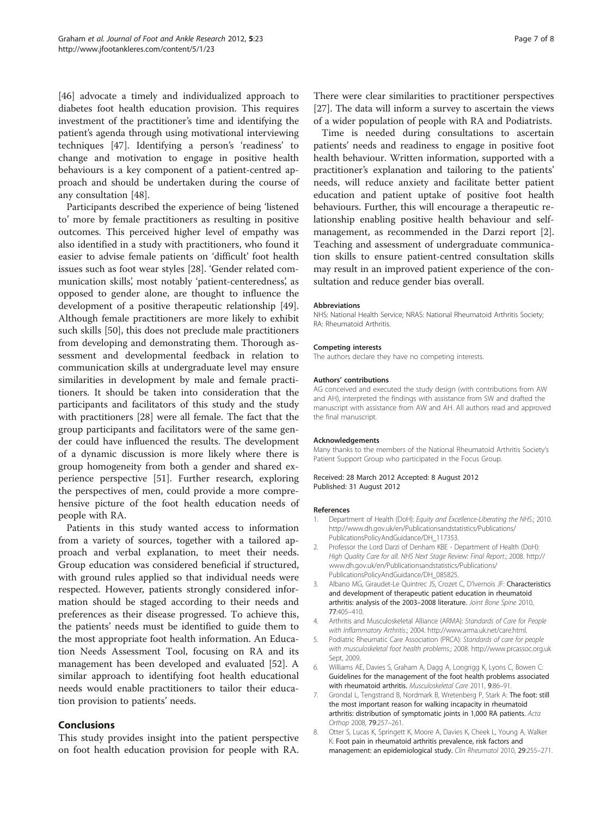<span id="page-6-0"></span>[[46\]](#page-7-0) advocate a timely and individualized approach to diabetes foot health education provision. This requires investment of the practitioner's time and identifying the patient's agenda through using motivational interviewing techniques [[47\]](#page-7-0). Identifying a person's 'readiness' to change and motivation to engage in positive health behaviours is a key component of a patient-centred approach and should be undertaken during the course of any consultation [\[48](#page-7-0)].

Participants described the experience of being 'listened to' more by female practitioners as resulting in positive outcomes. This perceived higher level of empathy was also identified in a study with practitioners, who found it easier to advise female patients on 'difficult' foot health issues such as foot wear styles [\[28](#page-7-0)]. 'Gender related communication skills', most notably 'patient-centeredness', as opposed to gender alone, are thought to influence the development of a positive therapeutic relationship [\[49](#page-7-0)]. Although female practitioners are more likely to exhibit such skills [[50](#page-7-0)], this does not preclude male practitioners from developing and demonstrating them. Thorough assessment and developmental feedback in relation to communication skills at undergraduate level may ensure similarities in development by male and female practitioners. It should be taken into consideration that the participants and facilitators of this study and the study with practitioners [\[28\]](#page-7-0) were all female. The fact that the group participants and facilitators were of the same gender could have influenced the results. The development of a dynamic discussion is more likely where there is group homogeneity from both a gender and shared experience perspective [\[51\]](#page-7-0). Further research, exploring the perspectives of men, could provide a more comprehensive picture of the foot health education needs of people with RA.

Patients in this study wanted access to information from a variety of sources, together with a tailored approach and verbal explanation, to meet their needs. Group education was considered beneficial if structured, with ground rules applied so that individual needs were respected. However, patients strongly considered information should be staged according to their needs and preferences as their disease progressed. To achieve this, the patients' needs must be identified to guide them to the most appropriate foot health information. An Education Needs Assessment Tool, focusing on RA and its management has been developed and evaluated [\[52](#page-7-0)]. A similar approach to identifying foot health educational needs would enable practitioners to tailor their education provision to patients' needs.

## Conclusions

This study provides insight into the patient perspective on foot health education provision for people with RA.

There were clear similarities to practitioner perspectives [[27\]](#page-7-0). The data will inform a survey to ascertain the views of a wider population of people with RA and Podiatrists.

Time is needed during consultations to ascertain patients' needs and readiness to engage in positive foot health behaviour. Written information, supported with a practitioner's explanation and tailoring to the patients' needs, will reduce anxiety and facilitate better patient education and patient uptake of positive foot health behaviours. Further, this will encourage a therapeutic relationship enabling positive health behaviour and selfmanagement, as recommended in the Darzi report [2]. Teaching and assessment of undergraduate communication skills to ensure patient-centred consultation skills may result in an improved patient experience of the consultation and reduce gender bias overall.

#### Abbreviations

NHS: National Health Service; NRAS: National Rheumatoid Arthritis Society; RA: Rheumatoid Arthritis.

#### Competing interests

The authors declare they have no competing interests.

#### Authors' contributions

AG conceived and executed the study design (with contributions from AW and AH), interpreted the findings with assistance from SW and drafted the manuscript with assistance from AW and AH. All authors read and approved the final manuscript.

#### Acknowledgements

Many thanks to the members of the National Rheumatoid Arthritis Society's Patient Support Group who participated in the Focus Group.

#### Received: 28 March 2012 Accepted: 8 August 2012 Published: 31 August 2012

#### References

- Department of Health (DoH): Equity and Excellence-Liberating the NHS.; 2010. [http://www.dh.gov.uk/en/Publicationsandstatistics/Publications/](http://www.dh.gov.uk/en/Publicationsandstatistics/Publications/PublicationsPolicyAndGuidance/DH_117353) [PublicationsPolicyAndGuidance/DH\\_117353.](http://www.dh.gov.uk/en/Publicationsandstatistics/Publications/PublicationsPolicyAndGuidance/DH_117353)
- 2. Professor the Lord Darzi of Denham KBE Department of Health (DoH): High Quality Care for all. NHS Next Stage Review: Final Report.; 2008. [http://](http://www.dh.gov.uk/en/Publicationsandstatistics/Publications/PublicationsPolicyAndGuidance/DH_085825) [www.dh.gov.uk/en/Publicationsandstatistics/Publications/](http://www.dh.gov.uk/en/Publicationsandstatistics/Publications/PublicationsPolicyAndGuidance/DH_085825) [PublicationsPolicyAndGuidance/DH\\_085825.](http://www.dh.gov.uk/en/Publicationsandstatistics/Publications/PublicationsPolicyAndGuidance/DH_085825)
- 3. Albano MG, Giraudet-Le Quintrec JS, Crozet C, D'Ivernois JF: Characteristics and development of therapeutic patient education in rheumatoid arthritis: analysis of the 2003–2008 literature. Joint Bone Spine 2010, 77:405–410.
- 4. Arthritis and Musculoskeletal Alliance (ARMA): Standards of Care for People with Inflammatory Arthritis.; 2004.<http://www.arma.uk.net/care.html>.
- 5. Podiatric Rheumatic Care Association (PRCA): Standards of care for people with musculoskeletal foot health problems.; 2008.<http://www.prcassoc.org.uk> Sept, 2009.
- 6. Williams AE, Davies S, Graham A, Dagg A, Longrigg K, Lyons C, Bowen C: Guidelines for the management of the foot health problems associated with rheumatoid arthritis. Musculoskeletal Care 2011, 9:86–91.
- 7. Grondal L, Tengstrand B, Nordmark B, Wretenberg P, Stark A: The foot: still the most important reason for walking incapacity in rheumatoid arthritis: distribution of symptomatic joints in 1,000 RA patients. Acta Orthop 2008, 79:257–261.
- 8. Otter S, Lucas K, Springett K, Moore A, Davies K, Cheek L, Young A, Walker K: Foot pain in rheumatoid arthritis prevalence, risk factors and management: an epidemiological study. Clin Rheumatol 2010, 29:255-271.